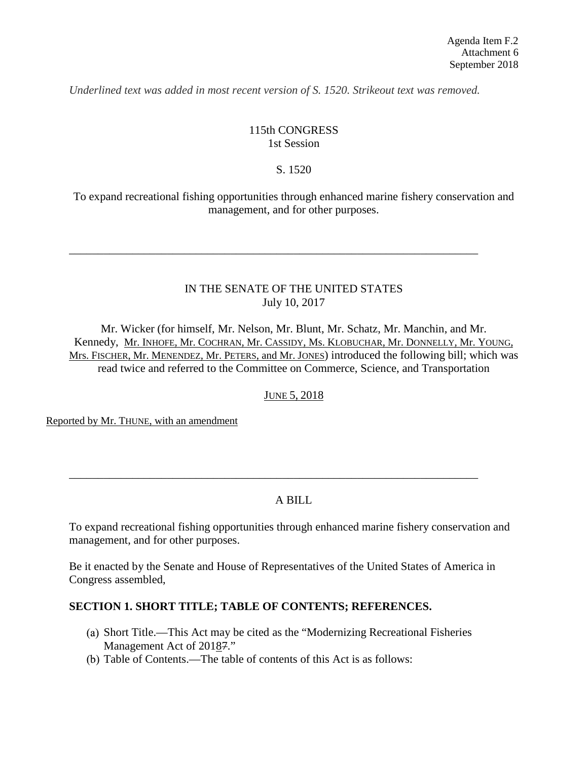*Underlined text was added in most recent version of S. 1520. Strikeout text was removed.*

#### 115th CONGRESS 1st Session

#### S. 1520

To expand recreational fishing opportunities through enhanced marine fishery conservation and management, and for other purposes.

#### IN THE SENATE OF THE UNITED STATES July 10, 2017

\_\_\_\_\_\_\_\_\_\_\_\_\_\_\_\_\_\_\_\_\_\_\_\_\_\_\_\_\_\_\_\_\_\_\_\_\_\_\_\_\_\_\_\_\_\_\_\_\_\_\_\_\_\_\_\_\_\_\_\_\_\_\_\_\_\_\_\_\_\_\_

Mr. Wicker (for himself, Mr. Nelson, Mr. Blunt, Mr. Schatz, Mr. Manchin, and Mr. Kennedy, Mr. INHOFE, Mr. COCHRAN, Mr. CASSIDY, Ms. KLOBUCHAR, Mr. DONNELLY, Mr. YOUNG, Mrs. FISCHER, Mr. MENENDEZ, Mr. PETERS, and Mr. JONES) introduced the following bill; which was read twice and referred to the Committee on Commerce, Science, and Transportation

## JUNE 5, 2018

Reported by Mr. THUNE, with an amendment

## A BILL

\_\_\_\_\_\_\_\_\_\_\_\_\_\_\_\_\_\_\_\_\_\_\_\_\_\_\_\_\_\_\_\_\_\_\_\_\_\_\_\_\_\_\_\_\_\_\_\_\_\_\_\_\_\_\_\_\_\_\_\_\_\_\_\_\_\_\_\_\_\_\_

To expand recreational fishing opportunities through enhanced marine fishery conservation and management, and for other purposes.

Be it enacted by the Senate and House of Representatives of the United States of America in Congress assembled,

#### **SECTION 1. SHORT TITLE; TABLE OF CONTENTS; REFERENCES.**

- Short Title.—This Act may be cited as the "Modernizing Recreational Fisheries Management Act of 20187."
- Table of Contents.—The table of contents of this Act is as follows: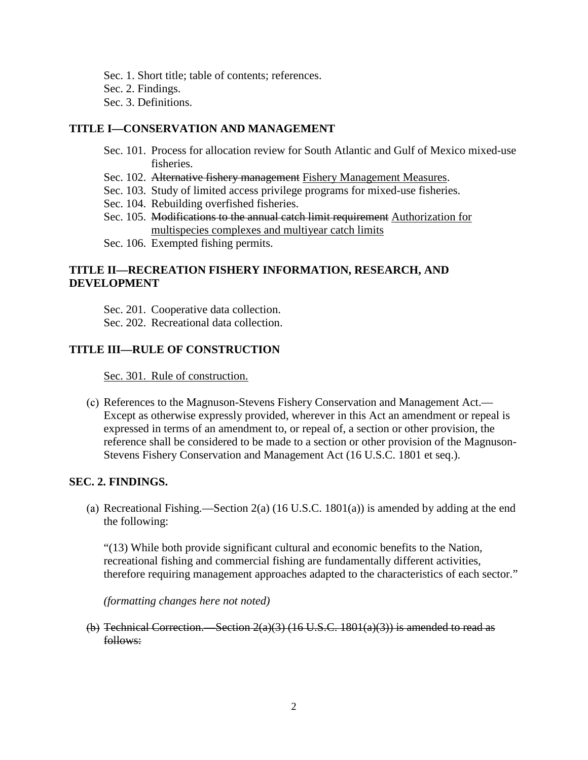Sec. 1. Short title; table of contents; references. Sec. 2. Findings. Sec. 3. Definitions.

#### **TITLE I—CONSERVATION AND MANAGEMENT**

- Sec. 101. Process for allocation review for South Atlantic and Gulf of Mexico mixed-use fisheries.
- Sec. 102. Alternative fishery management Fishery Management Measures.
- Sec. 103. Study of limited access privilege programs for mixed-use fisheries.
- Sec. 104. Rebuilding overfished fisheries.
- Sec. 105. Modifications to the annual catch limit requirement Authorization for multispecies complexes and multiyear catch limits
- Sec. 106. Exempted fishing permits.

# **TITLE II—RECREATION FISHERY INFORMATION, RESEARCH, AND DEVELOPMENT**

Sec. 201. Cooperative data collection.

Sec. 202. Recreational data collection.

### **TITLE III—RULE OF CONSTRUCTION**

Sec. 301. Rule of construction.

References to the Magnuson-Stevens Fishery Conservation and Management Act.— Except as otherwise expressly provided, wherever in this Act an amendment or repeal is expressed in terms of an amendment to, or repeal of, a section or other provision, the reference shall be considered to be made to a section or other provision of the Magnuson-Stevens Fishery Conservation and Management Act (16 U.S.C. 1801 et seq.).

#### **SEC. 2. FINDINGS.**

(a) Recreational Fishing.—Section 2(a)  $(16 \text{ U.S.C. } 1801(a))$  is amended by adding at the end the following:

"(13) While both provide significant cultural and economic benefits to the Nation, recreational fishing and commercial fishing are fundamentally different activities, therefore requiring management approaches adapted to the characteristics of each sector."

*(formatting changes here not noted)*

(b) Technical Correction.—Section  $2(a)(3)$  (16 U.S.C. 1801(a)(3)) is amended to read as follows: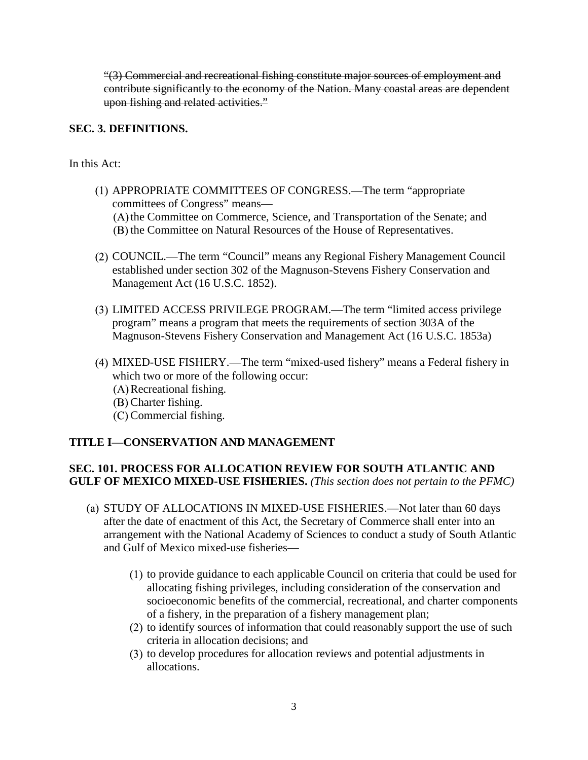"(3) Commercial and recreational fishing constitute major sources of employment and contribute significantly to the economy of the Nation. Many coastal areas are dependent upon fishing and related activities."

### **SEC. 3. DEFINITIONS.**

In this Act:

- APPROPRIATE COMMITTEES OF CONGRESS.—The term "appropriate committees of Congress" means—  $(A)$  the Committee on Commerce, Science, and Transportation of the Senate; and (B) the Committee on Natural Resources of the House of Representatives.
- COUNCIL.—The term "Council" means any Regional Fishery Management Council established under section 302 of the Magnuson-Stevens Fishery Conservation and Management Act (16 U.S.C. 1852).
- LIMITED ACCESS PRIVILEGE PROGRAM.—The term "limited access privilege program" means a program that meets the requirements of section 303A of the Magnuson-Stevens Fishery Conservation and Management Act (16 U.S.C. 1853a)
- MIXED-USE FISHERY.—The term "mixed-used fishery" means a Federal fishery in which two or more of the following occur:
	- (A) Recreational fishing.
	- (B) Charter fishing.
	- (C) Commercial fishing.

## **TITLE I—CONSERVATION AND MANAGEMENT**

### **SEC. 101. PROCESS FOR ALLOCATION REVIEW FOR SOUTH ATLANTIC AND GULF OF MEXICO MIXED-USE FISHERIES.** *(This section does not pertain to the PFMC)*

- (a) STUDY OF ALLOCATIONS IN MIXED-USE FISHERIES.—Not later than 60 days after the date of enactment of this Act, the Secretary of Commerce shall enter into an arrangement with the National Academy of Sciences to conduct a study of South Atlantic and Gulf of Mexico mixed-use fisheries—
	- $(1)$  to provide guidance to each applicable Council on criteria that could be used for allocating fishing privileges, including consideration of the conservation and socioeconomic benefits of the commercial, recreational, and charter components of a fishery, in the preparation of a fishery management plan;
	- $(2)$  to identify sources of information that could reasonably support the use of such criteria in allocation decisions; and
	- (3) to develop procedures for allocation reviews and potential adjustments in allocations.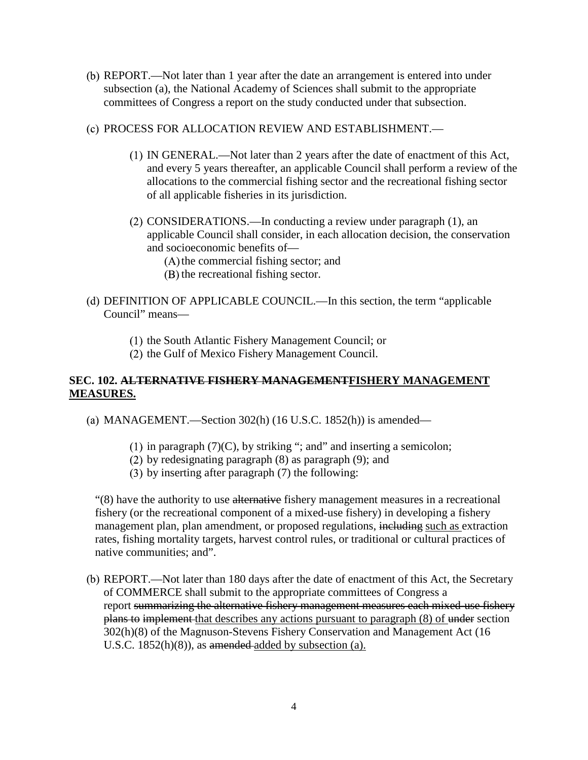- REPORT.—Not later than 1 year after the date an arrangement is entered into under subsection (a), the National Academy of Sciences shall submit to the appropriate committees of Congress a report on the study conducted under that subsection.
- PROCESS FOR ALLOCATION REVIEW AND ESTABLISHMENT.—
	- IN GENERAL.—Not later than 2 years after the date of enactment of this Act, and every 5 years thereafter, an applicable Council shall perform a review of the allocations to the commercial fishing sector and the recreational fishing sector of all applicable fisheries in its jurisdiction.
	- (2) CONSIDERATIONS.—In conducting a review under paragraph (1), an applicable Council shall consider, in each allocation decision, the conservation and socioeconomic benefits of—
		- $(A)$  the commercial fishing sector; and
		- $(B)$  the recreational fishing sector.
- DEFINITION OF APPLICABLE COUNCIL.—In this section, the term "applicable Council" means—
	- (1) the South Atlantic Fishery Management Council; or
	- $(2)$  the Gulf of Mexico Fishery Management Council.

## **SEC. 102. ALTERNATIVE FISHERY MANAGEMENTFISHERY MANAGEMENT MEASURES.**

- MANAGEMENT.—Section 302(h) (16 U.S.C. 1852(h)) is amended—
	- (1) in paragraph  $(7)(C)$ , by striking "; and" and inserting a semicolon;
	- (2) by redesignating paragraph  $(8)$  as paragraph  $(9)$ ; and
	- $(3)$  by inserting after paragraph  $(7)$  the following:

"(8) have the authority to use alternative fishery management measures in a recreational fishery (or the recreational component of a mixed-use fishery) in developing a fishery management plan, plan amendment, or proposed regulations, including such as extraction rates, fishing mortality targets, harvest control rules, or traditional or cultural practices of native communities; and".

REPORT.—Not later than 180 days after the date of enactment of this Act, the Secretary of COMMERCE shall submit to the appropriate committees of Congress a report summarizing the alternative fishery management measures each mixed-use fishery plans to implement that describes any actions pursuant to paragraph (8) of under section 302(h)(8) of the Magnuson-Stevens Fishery Conservation and Management Act (16 U.S.C. 1852(h)(8)), as amended added by subsection (a).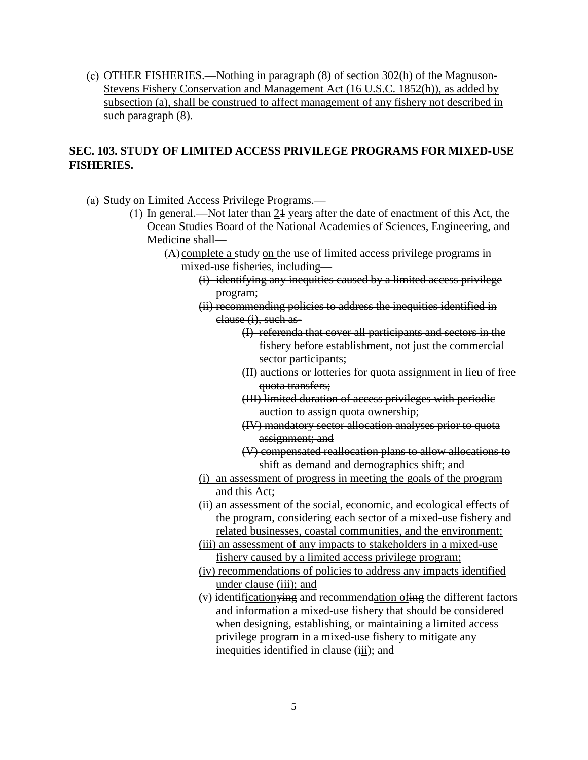$\alpha$ ) OTHER FISHERIES.—Nothing in paragraph  $(8)$  of section 302(h) of the Magnuson-Stevens Fishery Conservation and Management Act (16 U.S.C. 1852(h)), as added by subsection (a), shall be construed to affect management of any fishery not described in such paragraph (8).

# **SEC. 103. STUDY OF LIMITED ACCESS PRIVILEGE PROGRAMS FOR MIXED-USE FISHERIES.**

- (a) Study on Limited Access Privilege Programs.—
	- (1) In general.—Not later than  $2\frac{1}{2}$  years after the date of enactment of this Act, the Ocean Studies Board of the National Academies of Sciences, Engineering, and Medicine shall—
		- $(A)$  complete a study on the use of limited access privilege programs in mixed-use fisheries, including—
			- (i) identifying any inequities caused by a limited access privilege program;
			- (ii) recommending policies to address the inequities identified in clause (i), such as-
				- (I) referenda that cover all participants and sectors in the fishery before establishment, not just the commercial sector participants;
				- (II) auctions or lotteries for quota assignment in lieu of free quota transfers;
				- (III) limited duration of access privileges with periodic auction to assign quota ownership;
				- (IV) mandatory sector allocation analyses prior to quota assignment; and
				- (V) compensated reallocation plans to allow allocations to shift as demand and demographics shift; and
			- (i) an assessment of progress in meeting the goals of the program and this Act;
			- (ii) an assessment of the social, economic, and ecological effects of the program, considering each sector of a mixed-use fishery and related businesses, coastal communities, and the environment;
			- (iii) an assessment of any impacts to stakeholders in a mixed-use fishery caused by a limited access privilege program;
			- (iv) recommendations of policies to address any impacts identified under clause (iii); and
			- (v) identificationying and recommendation ofing the different factors and information a mixed-use fishery that should be considered when designing, establishing, or maintaining a limited access privilege program in a mixed-use fishery to mitigate any inequities identified in clause (iii); and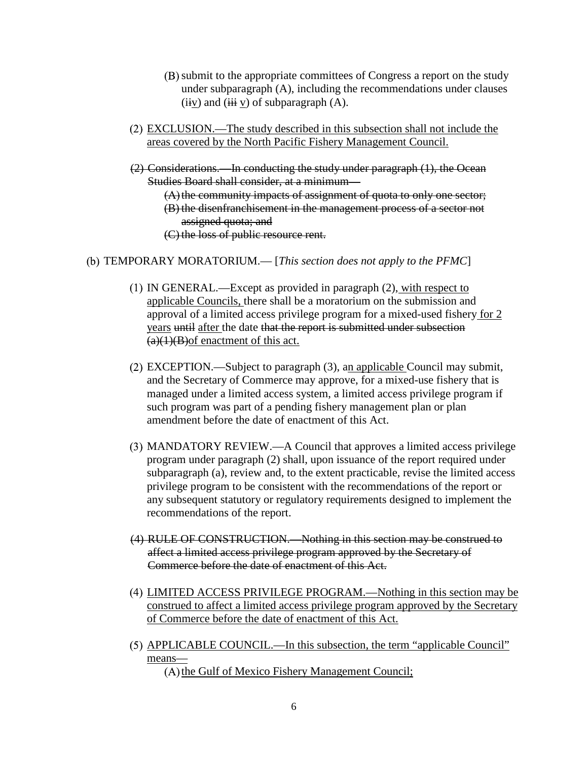- submit to the appropriate committees of Congress a report on the study under subparagraph (A), including the recommendations under clauses (iiv) and (iii v) of subparagraph  $(A)$ .
- EXCLUSION.—The study described in this subsection shall not include the areas covered by the North Pacific Fishery Management Council.
- (2) Considerations.—In conducting the study under paragraph (1), the Ocean Studies Board shall consider, at a minimum—
	- $(A)$  the community impacts of assignment of quota to only one sector; (B) the disenfranchisement in the management process of a sector not assigned quota; and
	- (C) the loss of public resource rent.
- TEMPORARY MORATORIUM.— [*This section does not apply to the PFMC*]
	- IN GENERAL.—Except as provided in paragraph (2), with respect to applicable Councils, there shall be a moratorium on the submission and approval of a limited access privilege program for a mixed-used fishery for 2 years until after the date that the report is submitted under subsection  $(a)(1)(B)$ of enactment of this act.
	- EXCEPTION.—Subject to paragraph (3), an applicable Council may submit, and the Secretary of Commerce may approve, for a mixed-use fishery that is managed under a limited access system, a limited access privilege program if such program was part of a pending fishery management plan or plan amendment before the date of enactment of this Act.
	- MANDATORY REVIEW.—A Council that approves a limited access privilege program under paragraph (2) shall, upon issuance of the report required under subparagraph (a), review and, to the extent practicable, revise the limited access privilege program to be consistent with the recommendations of the report or any subsequent statutory or regulatory requirements designed to implement the recommendations of the report.
	- (4) RULE OF CONSTRUCTION.—Nothing in this section may be construed to affect a limited access privilege program approved by the Secretary of Commerce before the date of enactment of this Act.
	- LIMITED ACCESS PRIVILEGE PROGRAM.—Nothing in this section may be construed to affect a limited access privilege program approved by the Secretary of Commerce before the date of enactment of this Act.
	- APPLICABLE COUNCIL.—In this subsection, the term "applicable Council" means—  $(A)$  the Gulf of Mexico Fishery Management Council;

6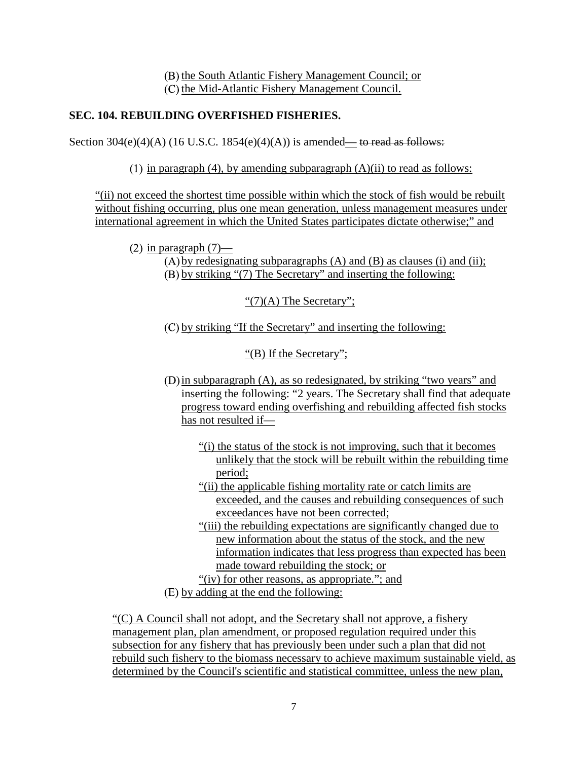(B) the South Atlantic Fishery Management Council; or  $(C)$  the Mid-Atlantic Fishery Management Council.

# **SEC. 104. REBUILDING OVERFISHED FISHERIES.**

Section  $304(e)(4)(A)$  (16 U.S.C. 1854(e)(4)(A)) is amended— to read as follows:

(1) in paragraph (4), by amending subparagraph  $(A)(ii)$  to read as follows:

"(ii) not exceed the shortest time possible within which the stock of fish would be rebuilt without fishing occurring, plus one mean generation, unless management measures under international agreement in which the United States participates dictate otherwise;" and

(2) in paragraph  $(7)$ —

 $(A)$  by redesignating subparagraphs  $(A)$  and  $(B)$  as clauses (i) and (ii); by striking "(7) The Secretary" and inserting the following:

" $(7)(A)$  The Secretary";

 $(C)$  by striking "If the Secretary" and inserting the following:

"(B) If the Secretary";

- in subparagraph (A), as so redesignated, by striking "two years" and inserting the following: "2 years. The Secretary shall find that adequate progress toward ending overfishing and rebuilding affected fish stocks has not resulted if—
	- "(i) the status of the stock is not improving, such that it becomes unlikely that the stock will be rebuilt within the rebuilding time period;
	- "(ii) the applicable fishing mortality rate or catch limits are exceeded, and the causes and rebuilding consequences of such exceedances have not been corrected;
	- "(iii) the rebuilding expectations are significantly changed due to new information about the status of the stock, and the new information indicates that less progress than expected has been made toward rebuilding the stock; or
	- "(iv) for other reasons, as appropriate."; and
- by adding at the end the following:

"(C) A Council shall not adopt, and the Secretary shall not approve, a fishery management plan, plan amendment, or proposed regulation required under this subsection for any fishery that has previously been under such a plan that did not rebuild such fishery to the biomass necessary to achieve maximum sustainable yield, as determined by the Council's scientific and statistical committee, unless the new plan,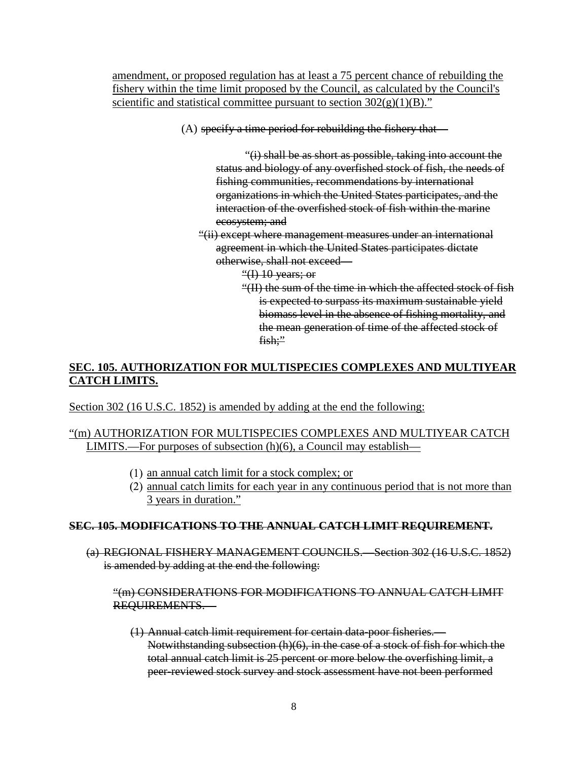amendment, or proposed regulation has at least a 75 percent chance of rebuilding the fishery within the time limit proposed by the Council, as calculated by the Council's scientific and statistical committee pursuant to section  $302(g)(1)(B)$ ."

 $(A)$  specify a time period for rebuilding the fishery that—

"(i) shall be as short as possible, taking into account the status and biology of any overfished stock of fish, the needs of fishing communities, recommendations by international organizations in which the United States participates, and the interaction of the overfished stock of fish within the marine ecosystem; and

- "(ii) except where management measures under an international agreement in which the United States participates dictate otherwise, shall not exceed—
	- "(I)  $10$  years; or
	- "(II) the sum of the time in which the affected stock of fish is expected to surpass its maximum sustainable yield biomass level in the absence of fishing mortality, and the mean generation of time of the affected stock of fish;"

# **SEC. 105. AUTHORIZATION FOR MULTISPECIES COMPLEXES AND MULTIYEAR CATCH LIMITS.**

Section 302 (16 U.S.C. 1852) is amended by adding at the end the following:

## "(m) AUTHORIZATION FOR MULTISPECIES COMPLEXES AND MULTIYEAR CATCH LIMITS.—For purposes of subsection (h)(6), a Council may establish—

- $(1)$  an annual catch limit for a stock complex; or
- (2) annual catch limits for each year in any continuous period that is not more than 3 years in duration."

#### **SEC. 105. MODIFICATIONS TO THE ANNUAL CATCH LIMIT REQUIREMENT.**

(a) REGIONAL FISHERY MANAGEMENT COUNCILS.—Section 302 (16 U.S.C. 1852) is amended by adding at the end the following:

#### "(m) CONSIDERATIONS FOR MODIFICATIONS TO ANNUAL CATCH LIMIT REQUIREMENTS.—

(1) Annual catch limit requirement for certain data-poor fisheries.— Notwithstanding subsection (h)(6), in the case of a stock of fish for which the total annual catch limit is 25 percent or more below the overfishing limit, a peer-reviewed stock survey and stock assessment have not been performed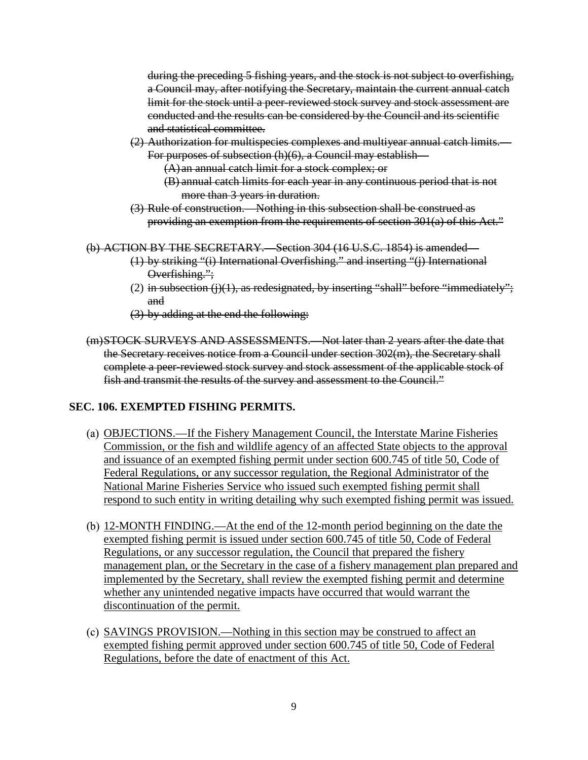during the preceding 5 fishing years, and the stock is not subject to overfishing, a Council may, after notifying the Secretary, maintain the current annual catch limit for the stock until a peer-reviewed stock survey and stock assessment are conducted and the results can be considered by the Council and its scientific and statistical committee.

- (2) Authorization for multispecies complexes and multiyear annual catch limits.
	- For purposes of subsection (h)(6), a Council may establish—
		- (A) an annual catch limit for a stock complex; or
		- (B) annual catch limits for each year in any continuous period that is not more than 3 years in duration.
- (3) Rule of construction.—Nothing in this subsection shall be construed as providing an exemption from the requirements of section 301(a) of this Act."

```
(b) ACTION BY THE SECRETARY.—Section 304 (16 U.S.C. 1854) is amended—
```
- (1) by striking "(i) International Overfishing." and inserting "(j) International Overfishing.";
- (2) in subsection  $(i)(1)$ , as redesignated, by inserting "shall" before "immediately"; and
- (3) by adding at the end the following:
- (m)STOCK SURVEYS AND ASSESSMENTS.—Not later than 2 years after the date that the Secretary receives notice from a Council under section 302(m), the Secretary shall complete a peer-reviewed stock survey and stock assessment of the applicable stock of fish and transmit the results of the survey and assessment to the Council."

# **SEC. 106. EXEMPTED FISHING PERMITS.**

- OBJECTIONS.—If the Fishery Management Council, the Interstate Marine Fisheries Commission, or the fish and wildlife agency of an affected State objects to the approval and issuance of an exempted fishing permit under section 600.745 of title 50, Code of Federal Regulations, or any successor regulation, the Regional Administrator of the National Marine Fisheries Service who issued such exempted fishing permit shall respond to such entity in writing detailing why such exempted fishing permit was issued.
- 12-MONTH FINDING.—At the end of the 12-month period beginning on the date the exempted fishing permit is issued under section 600.745 of title 50, Code of Federal Regulations, or any successor regulation, the Council that prepared the fishery management plan, or the Secretary in the case of a fishery management plan prepared and implemented by the Secretary, shall review the exempted fishing permit and determine whether any unintended negative impacts have occurred that would warrant the discontinuation of the permit.
- SAVINGS PROVISION.—Nothing in this section may be construed to affect an exempted fishing permit approved under section 600.745 of title 50, Code of Federal Regulations, before the date of enactment of this Act.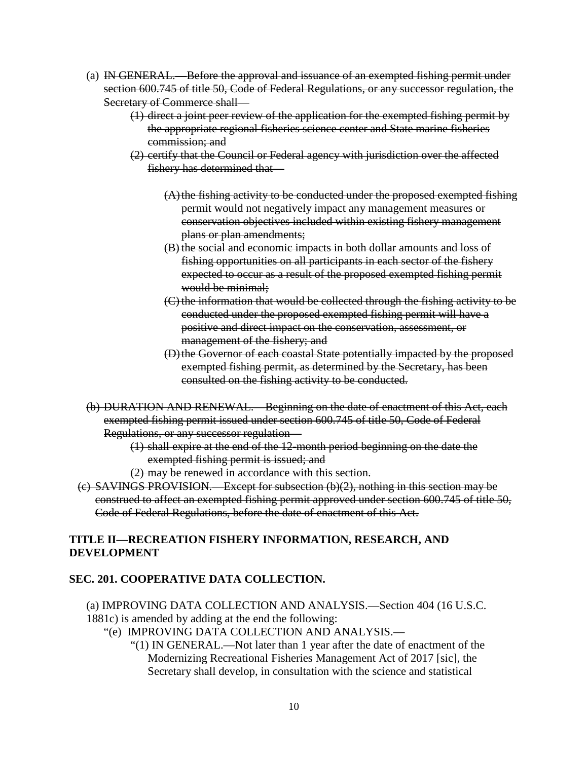- (a) IN GENERAL.—Before the approval and issuance of an exempted fishing permit under section 600.745 of title 50, Code of Federal Regulations, or any successor regulation, the Secretary of Commerce shall—
	- (1) direct a joint peer review of the application for the exempted fishing permit by the appropriate regional fisheries science center and State marine fisheries commission; and
	- (2) certify that the Council or Federal agency with jurisdiction over the affected fishery has determined that—
		- $(A)$  the fishing activity to be conducted under the proposed exempted fishing permit would not negatively impact any management measures or conservation objectives included within existing fishery management plans or plan amendments;
		- (B) the social and economic impacts in both dollar amounts and loss of fishing opportunities on all participants in each sector of the fishery expected to occur as a result of the proposed exempted fishing permit would be minimal;
		- (C) the information that would be collected through the fishing activity to be conducted under the proposed exempted fishing permit will have a positive and direct impact on the conservation, assessment, or management of the fishery; and
		- (D)the Governor of each coastal State potentially impacted by the proposed exempted fishing permit, as determined by the Secretary, has been consulted on the fishing activity to be conducted.
- (b) DURATION AND RENEWAL.—Beginning on the date of enactment of this Act, each exempted fishing permit issued under section 600.745 of title 50, Code of Federal Regulations, or any successor regulation—
	- (1) shall expire at the end of the 12-month period beginning on the date the exempted fishing permit is issued; and
	- (2) may be renewed in accordance with this section.
- (c) SAVINGS PROVISION.—Except for subsection (b)(2), nothing in this section may be construed to affect an exempted fishing permit approved under section 600.745 of title 50, Code of Federal Regulations, before the date of enactment of this Act.

## **TITLE II—RECREATION FISHERY INFORMATION, RESEARCH, AND DEVELOPMENT**

## **SEC. 201. COOPERATIVE DATA COLLECTION.**

- (a) IMPROVING DATA COLLECTION AND ANALYSIS.—Section 404 (16 U.S.C. 1881c) is amended by adding at the end the following:
	- "(e) IMPROVING DATA COLLECTION AND ANALYSIS.—
		- "(1) IN GENERAL.—Not later than 1 year after the date of enactment of the Modernizing Recreational Fisheries Management Act of 2017 [sic], the Secretary shall develop, in consultation with the science and statistical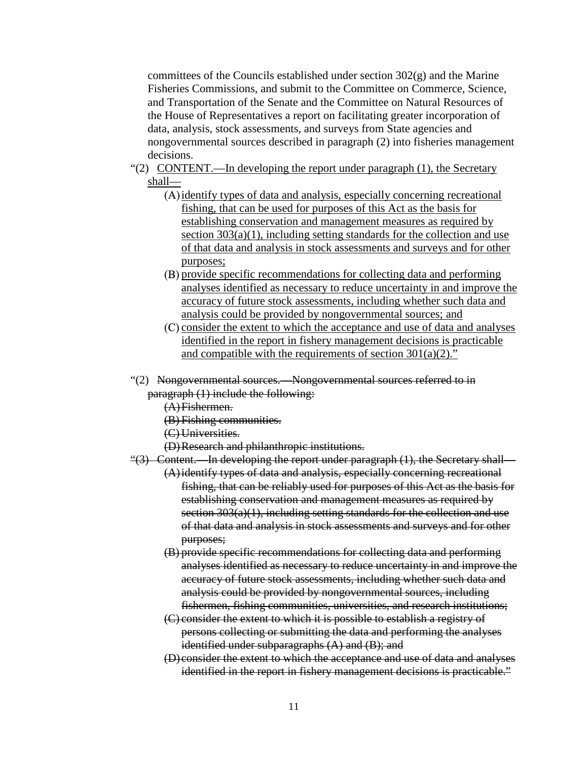committees of the Councils established under section  $302(g)$  and the Marine Fisheries Commissions, and submit to the Committee on Commerce, Science, and Transportation of the Senate and the Committee on Natural Resources of the House of Representatives a report on facilitating greater incorporation of data, analysis, stock assessments, and surveys from State agencies and nongovernmental sources described in paragraph (2) into fisheries management decisions.

- "(2) CONTENT.—In developing the report under paragraph (1), the Secretary shall—
	- (A) identify types of data and analysis, especially concerning recreational fishing, that can be used for purposes of this Act as the basis for establishing conservation and management measures as required by section  $303(a)(1)$ , including setting standards for the collection and use of that data and analysis in stock assessments and surveys and for other purposes;
	- provide specific recommendations for collecting data and performing analyses identified as necessary to reduce uncertainty in and improve the accuracy of future stock assessments, including whether such data and analysis could be provided by nongovernmental sources; and
	- $(C)$  consider the extent to which the acceptance and use of data and analyses identified in the report in fishery management decisions is practicable and compatible with the requirements of section  $301(a)(2)$ ."
- "(2) Nongovernmental sources.—Nongovernmental sources referred to in paragraph (1) include the following:
	- (A)Fishermen.
	- (B) Fishing communities.
	- (C) Universities.
	- (D)Research and philanthropic institutions.
- $\frac{4}{3}$  Content.—In developing the report under paragraph (1), the Secretary shall—
	- (A)identify types of data and analysis, especially concerning recreational fishing, that can be reliably used for purposes of this Act as the basis for establishing conservation and management measures as required by section 303(a)(1), including setting standards for the collection and use of that data and analysis in stock assessments and surveys and for other purposes;
	- (B) provide specific recommendations for collecting data and performing analyses identified as necessary to reduce uncertainty in and improve the accuracy of future stock assessments, including whether such data and analysis could be provided by nongovernmental sources, including fishermen, fishing communities, universities, and research institutions;
	- (C) consider the extent to which it is possible to establish a registry of persons collecting or submitting the data and performing the analyses identified under subparagraphs (A) and (B); and
	- (D) consider the extent to which the acceptance and use of data and analyses identified in the report in fishery management decisions is practicable."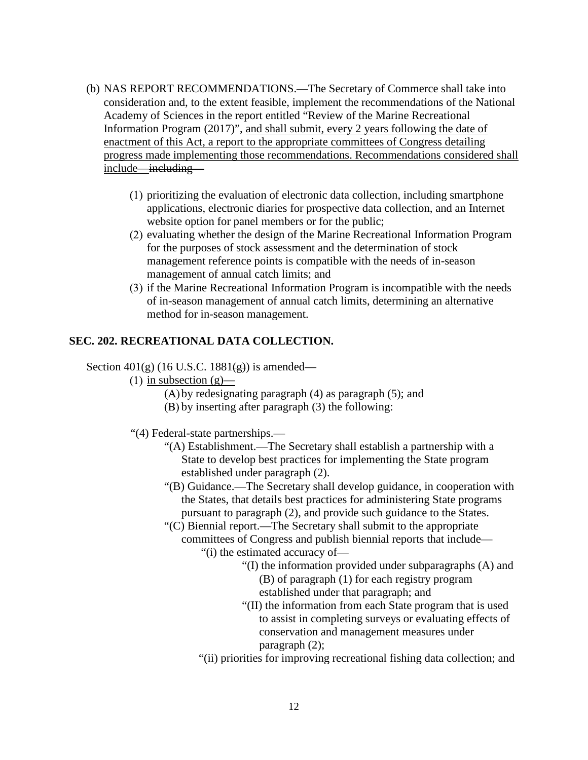- (b) NAS REPORT RECOMMENDATIONS.—The Secretary of Commerce shall take into consideration and, to the extent feasible, implement the recommendations of the National Academy of Sciences in the report entitled "Review of the Marine Recreational Information Program (2017)", and shall submit, every 2 years following the date of enactment of this Act, a report to the appropriate committees of Congress detailing progress made implementing those recommendations. Recommendations considered shall include—including—
	- $(1)$  prioritizing the evaluation of electronic data collection, including smartphone applications, electronic diaries for prospective data collection, and an Internet website option for panel members or for the public;
	- $(2)$  evaluating whether the design of the Marine Recreational Information Program for the purposes of stock assessment and the determination of stock management reference points is compatible with the needs of in-season management of annual catch limits; and
	- (3) if the Marine Recreational Information Program is incompatible with the needs of in-season management of annual catch limits, determining an alternative method for in-season management.

### **SEC. 202. RECREATIONAL DATA COLLECTION.**

Section  $401(g)$  (16 U.S.C. 1881 $\left(\frac{g}{g}\right)$ ) is amended—

- (1) in subsection  $(g)$ 
	- $(A)$  by redesignating paragraph  $(4)$  as paragraph  $(5)$ ; and
	- $(B)$  by inserting after paragraph  $(3)$  the following:

"(4) Federal-state partnerships.—

- "(A) Establishment.—The Secretary shall establish a partnership with a State to develop best practices for implementing the State program established under paragraph (2).
- "(B) Guidance.—The Secretary shall develop guidance, in cooperation with the States, that details best practices for administering State programs pursuant to paragraph (2), and provide such guidance to the States.
- "(C) Biennial report.—The Secretary shall submit to the appropriate committees of Congress and publish biennial reports that include—
	- "(i) the estimated accuracy of—
		- "(I) the information provided under subparagraphs (A) and (B) of paragraph (1) for each registry program established under that paragraph; and
		- "(II) the information from each State program that is used to assist in completing surveys or evaluating effects of conservation and management measures under paragraph (2);
	- "(ii) priorities for improving recreational fishing data collection; and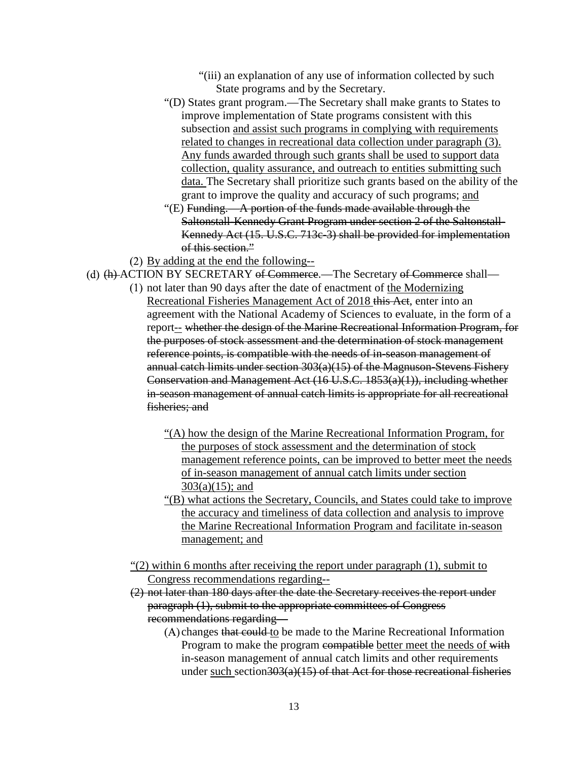- "(iii) an explanation of any use of information collected by such State programs and by the Secretary.
- "(D) States grant program.—The Secretary shall make grants to States to improve implementation of State programs consistent with this subsection and assist such programs in complying with requirements related to changes in recreational data collection under paragraph (3). Any funds awarded through such grants shall be used to support data collection, quality assurance, and outreach to entities submitting such data. The Secretary shall prioritize such grants based on the ability of the grant to improve the quality and accuracy of such programs; and
- "(E) Funding.—A portion of the funds made available through the Saltonstall-Kennedy Grant Program under section 2 of the Saltonstall-Kennedy Act (15. U.S.C. 713c-3) shall be provided for implementation of this section."
- By adding at the end the following--
- (d) (h) ACTION BY SECRETARY of Commerce.—The Secretary of Commerce shall
	- not later than 90 days after the date of enactment of the Modernizing Recreational Fisheries Management Act of 2018 this Act, enter into an agreement with the National Academy of Sciences to evaluate, in the form of a report<sub>--</sub> whether the design of the Marine Recreational Information Program, for the purposes of stock assessment and the determination of stock management reference points, is compatible with the needs of in-season management of annual catch limits under section 303(a)(15) of the Magnuson-Stevens Fishery Conservation and Management Act (16 U.S.C. 1853(a)(1)), including whether in-season management of annual catch limits is appropriate for all recreational fisheries; and
		- "(A) how the design of the Marine Recreational Information Program, for the purposes of stock assessment and the determination of stock management reference points, can be improved to better meet the needs of in-season management of annual catch limits under section 303(a)(15); and
		- "(B) what actions the Secretary, Councils, and States could take to improve the accuracy and timeliness of data collection and analysis to improve the Marine Recreational Information Program and facilitate in-season management; and
	- "(2) within 6 months after receiving the report under paragraph (1), submit to Congress recommendations regarding--
	- (2) not later than 180 days after the date the Secretary receives the report under paragraph (1), submit to the appropriate committees of Congress recommendations regarding—
		- (A) changes that could to be made to the Marine Recreational Information Program to make the program compatible better meet the needs of with in-season management of annual catch limits and other requirements under such section 303(a)(15) of that Act for those recreational fisheries